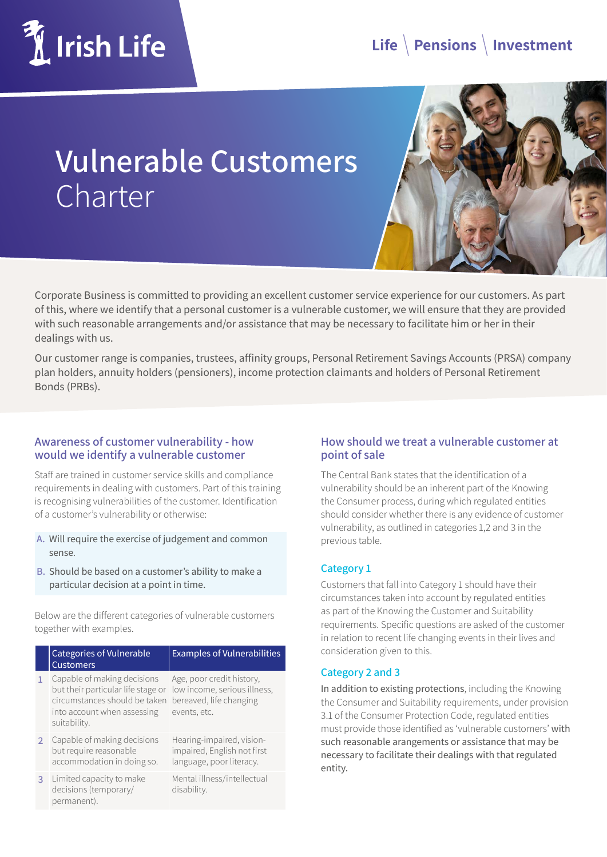

## **Vulnerable Customers** Charter



Corporate Business is committed to providing an excellent customer service experience for our customers. As part of this, where we identify that a personal customer is a vulnerable customer, we will ensure that they are provided with such reasonable arrangements and/or assistance that may be necessary to facilitate him or her in their dealings with us.

Our customer range is companies, trustees, affinity groups, Personal Retirement Savings Accounts (PRSA) company plan holders, annuity holders (pensioners), income protection claimants and holders of Personal Retirement Bonds (PRBs).

#### **Awareness of customer vulnerability - how would we identify a vulnerable customer**

Staff are trained in customer service skills and compliance requirements in dealing with customers. Part of this training is recognising vulnerabilities of the customer. Identification of a customer's vulnerability or otherwise:

- **A.** Will require the exercise of judgement and common sense.
- **B.** Should be based on a customer's ability to make a particular decision at a point in time.

Below are the different categories of vulnerable customers together with examples.

|               | <b>Categories of Vulnerable</b><br><b>Customers</b>                                                                                               | <b>Examples of Vulnerabilities</b>                                                                   |
|---------------|---------------------------------------------------------------------------------------------------------------------------------------------------|------------------------------------------------------------------------------------------------------|
|               | Capable of making decisions<br>but their particular life stage or<br>circumstances should be taken<br>into account when assessing<br>suitability. | Age, poor credit history,<br>low income, serious illness,<br>bereaved, life changing<br>events, etc. |
| $\mathcal{P}$ | Capable of making decisions<br>but require reasonable<br>accommodation in doing so.                                                               | Hearing-impaired, vision-<br>impaired, English not first<br>language, poor literacy.                 |
| 3             | Limited capacity to make<br>decisions (temporary/<br>permanent).                                                                                  | Mental illness/intellectual<br>disability.                                                           |

#### **How should we treat a vulnerable customer at point of sale**

The Central Bank states that the identification of a vulnerability should be an inherent part of the Knowing the Consumer process, during which regulated entities should consider whether there is any evidence of customer vulnerability, as outlined in categories 1,2 and 3 in the previous table.

#### **Category 1**

Customers that fall into Category 1 should have their circumstances taken into account by regulated entities as part of the Knowing the Customer and Suitability requirements. Specific questions are asked of the customer in relation to recent life changing events in their lives and consideration given to this.

#### **Category 2 and 3**

In addition to existing protections, including the Knowing the Consumer and Suitability requirements, under provision 3.1 of the Consumer Protection Code, regulated entities must provide those identified as 'vulnerable customers' with such reasonable arangements or assistance that may be necessary to facilitate their dealings with that regulated entity.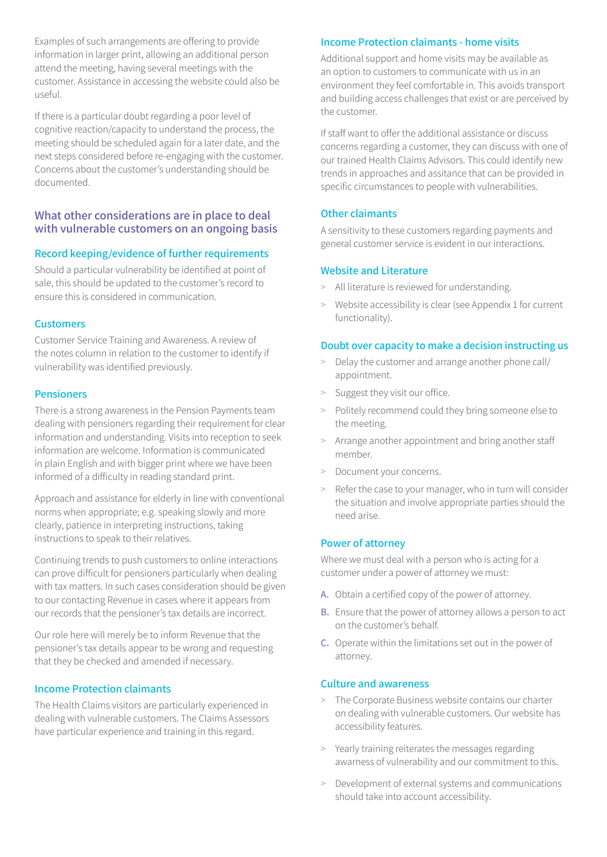Examples of such arrangements are offering to provide information in larger print, allowing an additional person attend the meeting, having several meetings with the customer. Assistance in accessing the website could also be useful.

If there is a particular doubt regarding a poor level of cognitive reaction/capacity to understand the process, the meeting should be scheduled again for a later date, and the next steps considered before re-engaging with the customer. Concerns about the customer's understanding should be documented.

#### **What other considerations are in place to deal with vulnerable customers on an ongoing basis**

#### **Record keeping/evidence of further requirements**

Should a particular vulnerability be identified at point of sale, this should be updated to the customer's record to ensure this is considered in communication.

#### **Customers**

Customer Service Training and Awareness. A review of the notes column in relation to the customer to identify if vulnerability was identified previously.

#### **Pensioners**

There is a strong awareness in the Pension Payments team dealing with pensioners regarding their requirement for clear information and understanding. Visits into reception to seek information are welcome. Information is communicated in plain English and with bigger print where we have been informed of a difficulty in reading standard print.

Approach and assistance for elderly in line with conventional norms when appropriate; e.g. speaking slowly and more clearly, patience in interpreting instructions, taking instructions to speak to their relatives.

Continuing trends to push customers to online interactions can prove difficult for pensioners particularly when dealing with tax matters. In such cases consideration should be given to our contacting Revenue in cases where it appears from our records that the pensioner's tax details are incorrect.

Our role here will merely be to inform Revenue that the pensioner's tax details appear to be wrong and requesting that they be checked and amended if necessary.

#### **Income Protection claimants**

The Health Claims visitors are particularly experienced in dealing with vulnerable customers. The Claims Assessors have particular experience and training in this regard.

#### **Income Protection claimants - home visits**

Additional support and home visits may be available as an option to customers to communicate with us in an environment they feel comfortable in. This avoids transport and building access challenges that exist or are perceived by the customer.

If staff want to offer the additional assistance or discuss concerns regarding a customer, they can discuss with one of our trained Health Claims Advisors. This could identify new trends in approaches and assitance that can be provided in specific circumstances to people with vulnerabilities.

#### **Other claimants**

A sensitivity to these customers regarding payments and general customer service is evident in our interactions.

#### **Website and Literature**

- > All literature is reviewed for understanding.
- > Website accessibility is clear (see Appendix 1 for current functionality).

#### **Doubt over capacity to make a decision instructing us**

- > Delay the customer and arrange another phone call/ appointment.
- Suggest they visit our office.
- > Politely recommend could they bring someone else to the meeting.
- > Arrange another appointment and bring another staff member.
- Document your concerns.
- Refer the case to your manager, who in turn will consider the situation and involve appropriate parties should the need arise.

#### **Power of attorney**

Where we must deal with a person who is acting for a customer under a power of attorney we must:

- **A.** Obtain a certified copy of the power of attorney.
- **B.** Ensure that the power of attorney allows a person to act on the customer's behalf.
- **C.** Operate within the limitations set out in the power of attorney.

#### **Culture and awareness**

- > The Corporate Business website contains our charter on dealing with vulnerable customers. Our website has accessibility features.
- > Yearly training reiterates the messages regarding awarness of vulnerability and our commitment to this.
- > Development of external systems and communications should take into account accessibility.